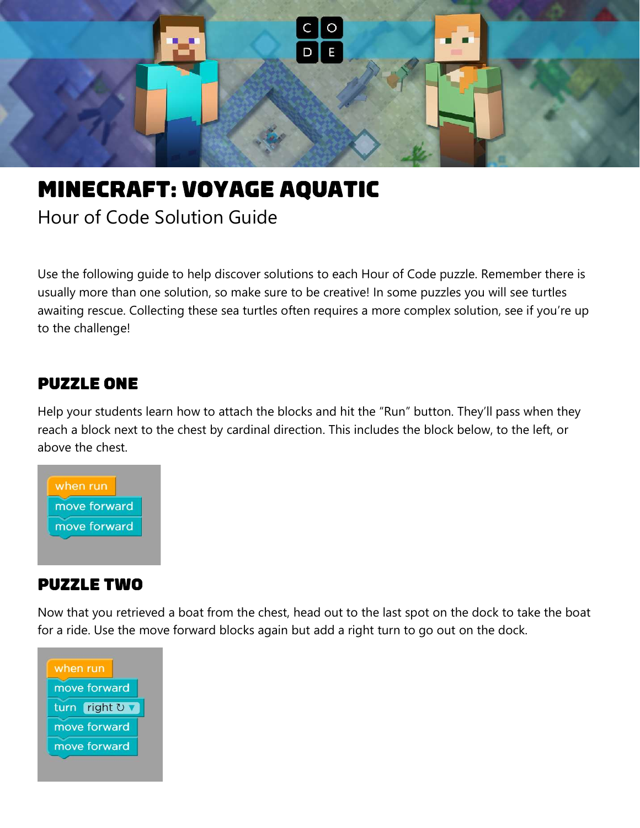

# **MINECRAFT: VOYAGE AQUATIC**

Hour of Code Solution Guide

Use the following guide to help discover solutions to each Hour of Code puzzle. Remember there is usually more than one solution, so make sure to be creative! In some puzzles you will see turtles awaiting rescue. Collecting these sea turtles often requires a more complex solution, see if you're up to the challenge!

#### **PUZZLE ONE**

Help your students learn how to attach the blocks and hit the "Run" button. They'll pass when they reach a block next to the chest by cardinal direction. This includes the block below, to the left, or above the chest.



#### **PUZZLE TWO**

Now that you retrieved a boat from the chest, head out to the last spot on the dock to take the boat for a ride. Use the move forward blocks again but add a right turn to go out on the dock.

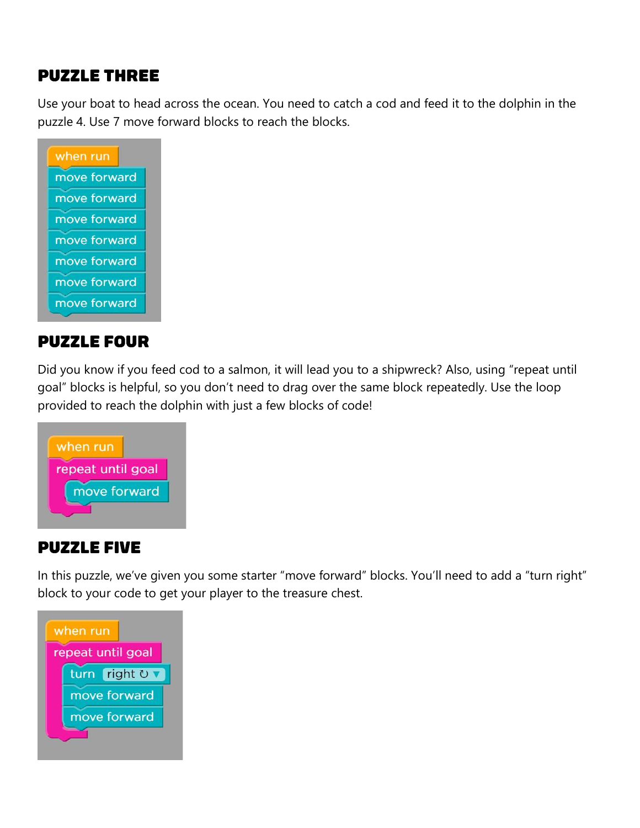## **PUZZLE THREE**

Use your boat to head across the ocean. You need to catch a cod and feed it to the dolphin in the puzzle 4. Use 7 move forward blocks to reach the blocks.

| when run     |  |
|--------------|--|
| move forward |  |
| move forward |  |
| move forward |  |
| move forward |  |
| move forward |  |
| move forward |  |
| move forward |  |
|              |  |

#### **PUZZLE FOUR**

Did you know if you feed cod to a salmon, it will lead you to a shipwreck? Also, using "repeat until goal" blocks is helpful, so you don't need to drag over the same block repeatedly. Use the loop provided to reach the dolphin with just a few blocks of code!



#### **PUZZLE FIVE**

In this puzzle, we've given you some starter "move forward" blocks. You'll need to add a "turn right" block to your code to get your player to the treasure chest.

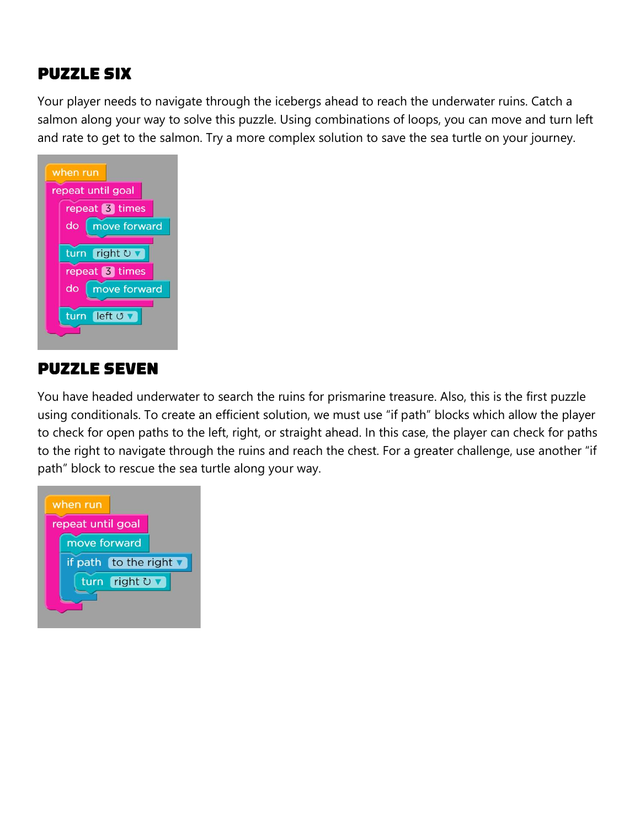# **PUZZLE SIX**

Your player needs to navigate through the icebergs ahead to reach the underwater ruins. Catch a salmon along your way to solve this puzzle. Using combinations of loops, you can move and turn left and rate to get to the salmon. Try a more complex solution to save the sea turtle on your journey.



#### **PUZZLE SEVEN**

You have headed underwater to search the ruins for prismarine treasure. Also, this is the first puzzle using conditionals. To create an efficient solution, we must use "if path" blocks which allow the player to check for open paths to the left, right, or straight ahead. In this case, the player can check for paths to the right to navigate through the ruins and reach the chest. For a greater challenge, use another "if path" block to rescue the sea turtle along your way.

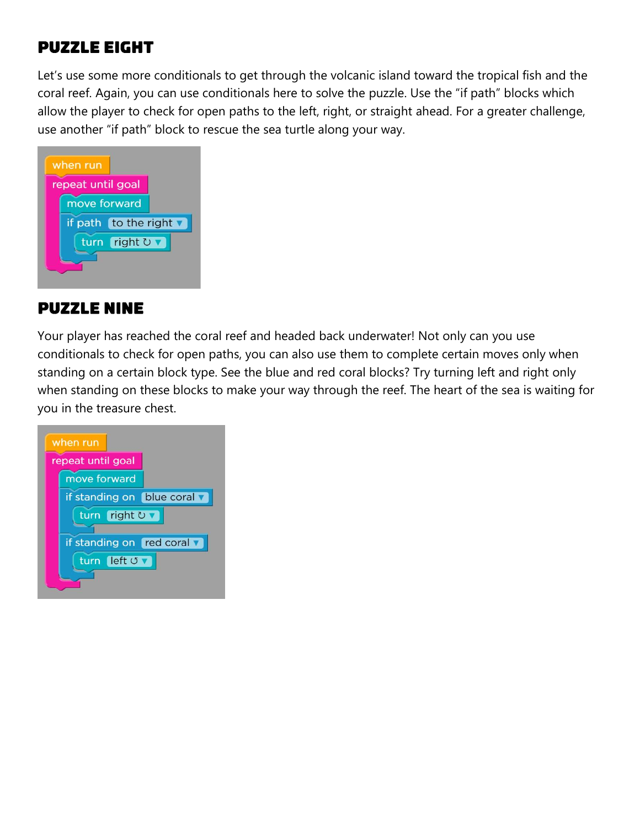## **PUZZLE EIGHT**

Let's use some more conditionals to get through the volcanic island toward the tropical fish and the coral reef. Again, you can use conditionals here to solve the puzzle. Use the "if path" blocks which allow the player to check for open paths to the left, right, or straight ahead. For a greater challenge, use another "if path" block to rescue the sea turtle along your way.



#### **PUZZLE NINE**

Your player has reached the coral reef and headed back underwater! Not only can you use conditionals to check for open paths, you can also use them to complete certain moves only when standing on a certain block type. See the blue and red coral blocks? Try turning left and right only when standing on these blocks to make your way through the reef. The heart of the sea is waiting for you in the treasure chest.

| when run                    |
|-----------------------------|
| repeat until goal           |
| move forward                |
| if standing on blue coral v |
| turn right <b>U</b> ▼       |
| if standing on red coral v  |
| turn left <b>J</b>          |